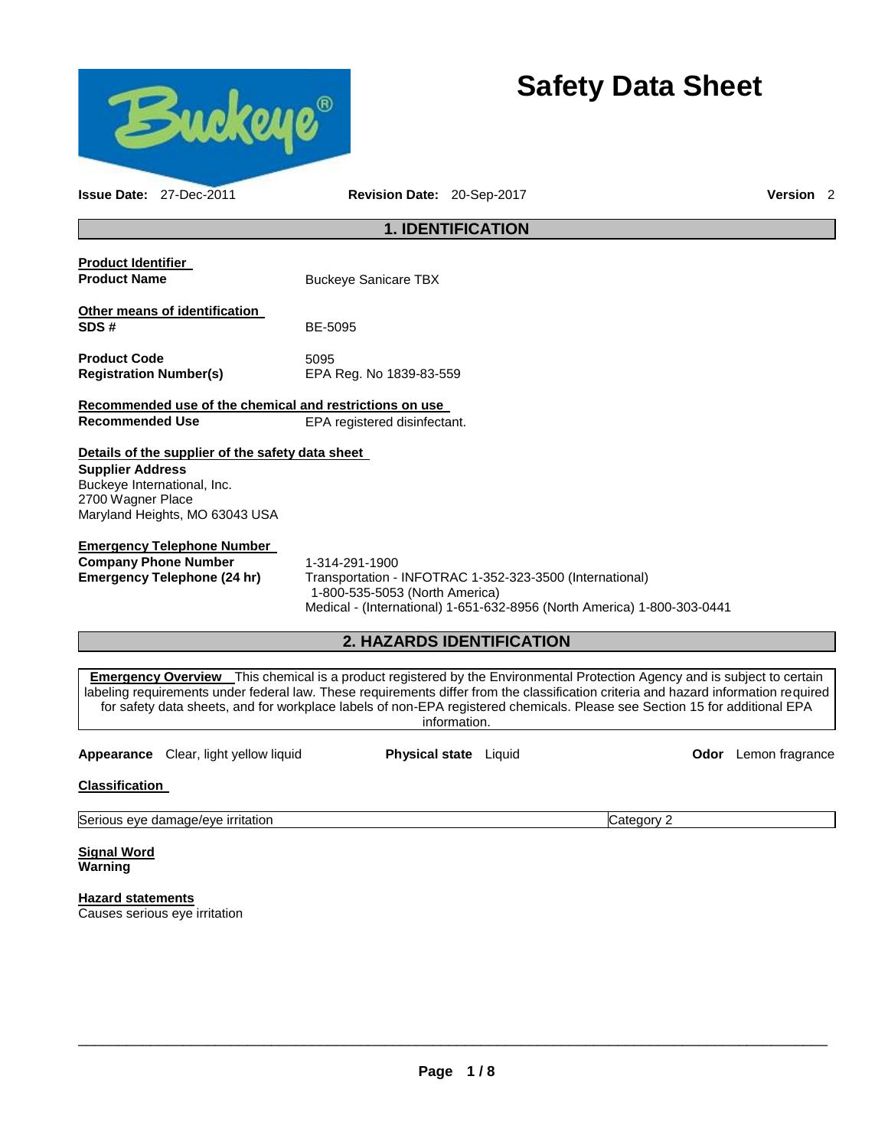

# **Safety Data Sheet**

**Issue Date:** 27-Dec-2011 **Revision Date:** 20-Sep-2017 **Version** 2

# **1. IDENTIFICATION**

| <b>Product Identifier</b><br><b>Product Name</b>                                                                                                                  | <b>Buckeye Sanicare TBX</b>     |  |  |
|-------------------------------------------------------------------------------------------------------------------------------------------------------------------|---------------------------------|--|--|
| Other means of identification<br>SDS#                                                                                                                             | BE-5095                         |  |  |
| <b>Product Code</b><br><b>Registration Number(s)</b>                                                                                                              | 5095<br>EPA Reg. No 1839-83-559 |  |  |
| Recommended use of the chemical and restrictions on use                                                                                                           |                                 |  |  |
| Recommended Use                                                                                                                                                   | EPA registered disinfectant.    |  |  |
| Details of the supplier of the safety data sheet<br><b>Supplier Address</b><br>Buckeye International, Inc.<br>2700 Wagner Place<br>Maryland Heights, MO 63043 USA |                                 |  |  |
| Emergency Telephone Number                                                                                                                                        |                                 |  |  |

**Company Phone Number** 1-314-291-1900

**Emergency Telephone (24 hr)** Transportation - INFOTRAC 1-352-323-3500 (International) 1-800-535-5053 (North America) Medical - (International) 1-651-632-8956 (North America) 1-800-303-0441

# **2. HAZARDS IDENTIFICATION**

**Emergency Overview** This chemical is a product registered by the Environmental Protection Agency and is subject to certain labeling requirements under federal law. These requirements differ from the classification criteria and hazard information required for safety data sheets, and for workplace labels of non-EPA registered chemicals. Please see Section 15 for additional EPA information.

**Appearance** Clear, light yellow liquid **Physical state** Liquid **Odor** Lemon fragrance

**Classification** 

Serious eye damage/eye irritation Category 2 and Category 2

**Signal Word Warning** 

**Hazard statements** Causes serious eye irritation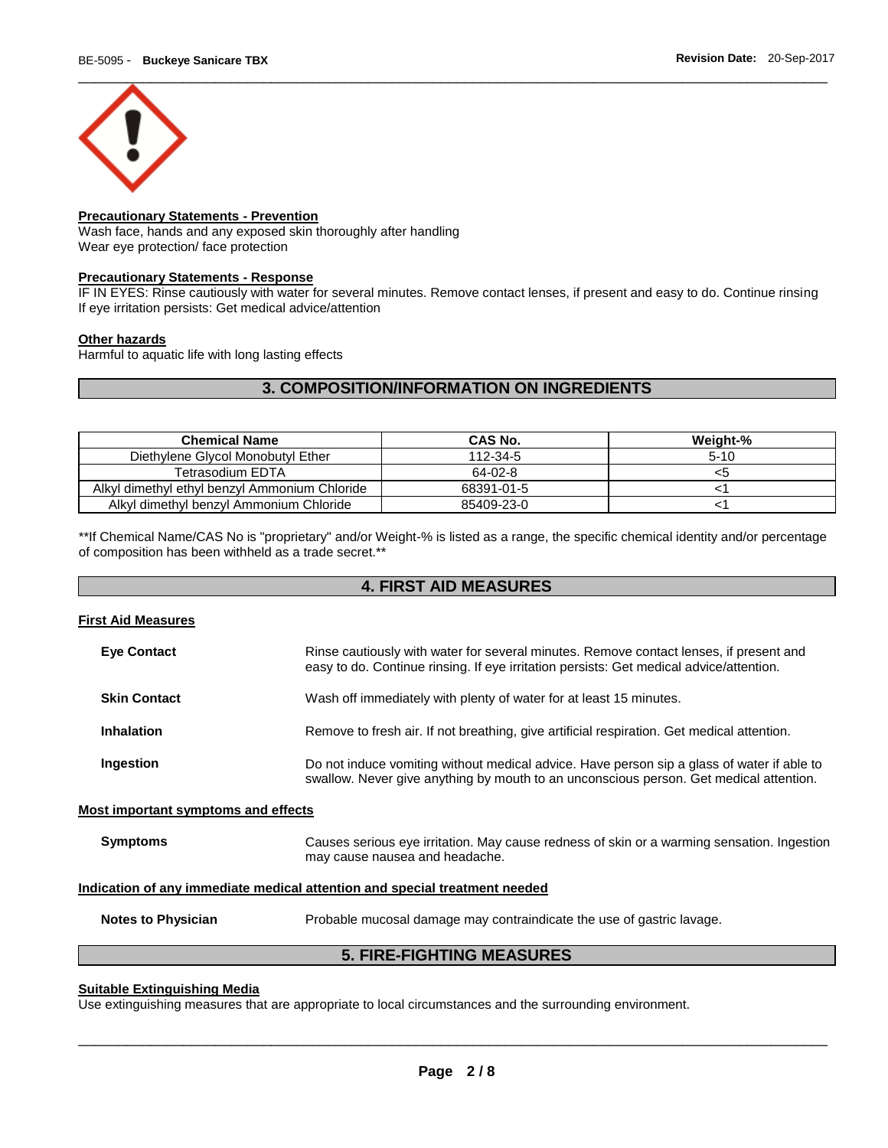

# **Precautionary Statements - Prevention**

Wash face, hands and any exposed skin thoroughly after handling Wear eye protection/ face protection

# **Precautionary Statements - Response**

IF IN EYES: Rinse cautiously with water for several minutes. Remove contact lenses, if present and easy to do. Continue rinsing If eye irritation persists: Get medical advice/attention

# **Other hazards**

Harmful to aquatic life with long lasting effects

# **3. COMPOSITION/INFORMATION ON INGREDIENTS**

| <b>Chemical Name</b>                          | CAS No.    | Weight-% |
|-----------------------------------------------|------------|----------|
| Diethylene Glycol Monobutyl Ether             | 112-34-5   | $5 - 10$ |
| Tetrasodium EDTA                              | 64-02-8    | <5       |
| Alkyl dimethyl ethyl benzyl Ammonium Chloride | 68391-01-5 |          |
| Alkyl dimethyl benzyl Ammonium Chloride       | 85409-23-0 |          |

\*\*If Chemical Name/CAS No is "proprietary" and/or Weight-% is listed as a range, the specific chemical identity and/or percentage of composition has been withheld as a trade secret.\*\*

# **4. FIRST AID MEASURES**

# **First Aid Measures**

| <b>Eve Contact</b>                  | Rinse cautiously with water for several minutes. Remove contact lenses, if present and<br>easy to do. Continue rinsing. If eye irritation persists: Get medical advice/attention.    |
|-------------------------------------|--------------------------------------------------------------------------------------------------------------------------------------------------------------------------------------|
| <b>Skin Contact</b>                 | Wash off immediately with plenty of water for at least 15 minutes.                                                                                                                   |
| <b>Inhalation</b>                   | Remove to fresh air. If not breathing, give artificial respiration. Get medical attention.                                                                                           |
| Ingestion                           | Do not induce vomiting without medical advice. Have person sip a glass of water if able to<br>swallow. Never give anything by mouth to an unconscious person. Get medical attention. |
| Most important symptoms and effects |                                                                                                                                                                                      |
| <b>Symptoms</b>                     | Causes serious eye irritation. May cause redness of skin or a warming sensation. Ingestion<br>may cause nausea and headache.                                                         |
|                                     | Indication of any immediate medical attention and special treatment needed                                                                                                           |
| <b>Notes to Physician</b>           | Probable mucosal damage may contraindicate the use of gastric lavage.                                                                                                                |

**5. FIRE-FIGHTING MEASURES** 

# **Suitable Extinguishing Media**

Use extinguishing measures that are appropriate to local circumstances and the surrounding environment.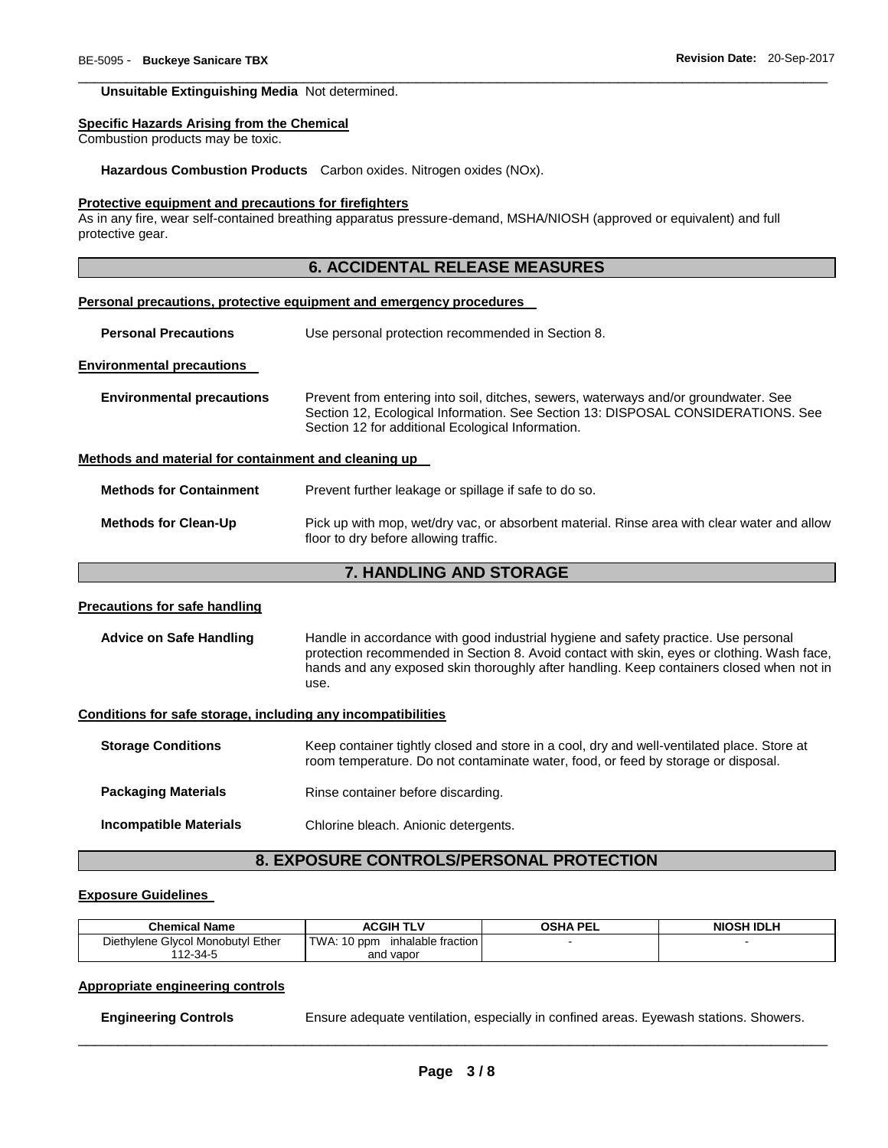#### **Unsuitable Extinguishing Media** Not determined.

#### **Specific Hazards Arising from the Chemical**

Combustion products may be toxic.

**Hazardous Combustion Products** Carbon oxides. Nitrogen oxides (NOx).

# **Protective equipment and precautions for firefighters**

As in any fire, wear self-contained breathing apparatus pressure-demand, MSHA/NIOSH (approved or equivalent) and full protective gear.

# **6. ACCIDENTAL RELEASE MEASURES**

\_\_\_\_\_\_\_\_\_\_\_\_\_\_\_\_\_\_\_\_\_\_\_\_\_\_\_\_\_\_\_\_\_\_\_\_\_\_\_\_\_\_\_\_\_\_\_\_\_\_\_\_\_\_\_\_\_\_\_\_\_\_\_\_\_\_\_\_\_\_\_\_\_\_\_\_\_\_\_\_\_\_\_\_\_\_\_\_\_\_\_\_\_

#### **Personal precautions, protective equipment and emergency procedures**

| <b>Personal Precautions</b> | Use personal protection recommended in Section 8. |
|-----------------------------|---------------------------------------------------|
|-----------------------------|---------------------------------------------------|

# **Environmental precautions**

| <b>Environmental precautions</b> | Prevent from entering into soil, ditches, sewers, waterways and/or groundwater. See |
|----------------------------------|-------------------------------------------------------------------------------------|
|                                  | Section 12, Ecological Information. See Section 13: DISPOSAL CONSIDERATIONS. See    |
|                                  | Section 12 for additional Ecological Information.                                   |

#### **Methods and material for containment and cleaning up**

**Methods for Containment** Prevent further leakage or spillage if safe to do so.

**Methods for Clean-Up** Pick up with mop, wet/dry vac, or absorbent material. Rinse area with clear water and allow floor to dry before allowing traffic.

# **7. HANDLING AND STORAGE**

## **Precautions for safe handling**

**Advice on Safe Handling** Handle in accordance with good industrial hygiene and safety practice. Use personal protection recommended in Section 8. Avoid contact with skin, eyes or clothing. Wash face, hands and any exposed skin thoroughly after handling. Keep containers closed when not in use.

#### **Conditions for safe storage, including any incompatibilities**

| <b>Storage Conditions</b>  | Keep container tightly closed and store in a cool, dry and well-ventilated place. Store at<br>room temperature. Do not contaminate water, food, or feed by storage or disposal. |
|----------------------------|---------------------------------------------------------------------------------------------------------------------------------------------------------------------------------|
| <b>Packaging Materials</b> | Rinse container before discarding.                                                                                                                                              |
| Incompatible Materials     | Chlorine bleach. Anionic detergents.                                                                                                                                            |

# **8. EXPOSURE CONTROLS/PERSONAL PROTECTION**

#### **Exposure Guidelines**

| <b>Chemical Name</b>              | ACGIH TLV                         | <b>OSHA PEL</b> | NIOSH IDLH |
|-----------------------------------|-----------------------------------|-----------------|------------|
| Diethylene Glycol Monobutyl Ether | TWA: 10 ppm<br>inhalable fraction |                 |            |
| $12 - 34 - 5$                     | and vapor                         |                 |            |

# **Appropriate engineering controls**

**Engineering Controls Ensure adequate ventilation, especially in confined areas. Eyewash stations. Showers.**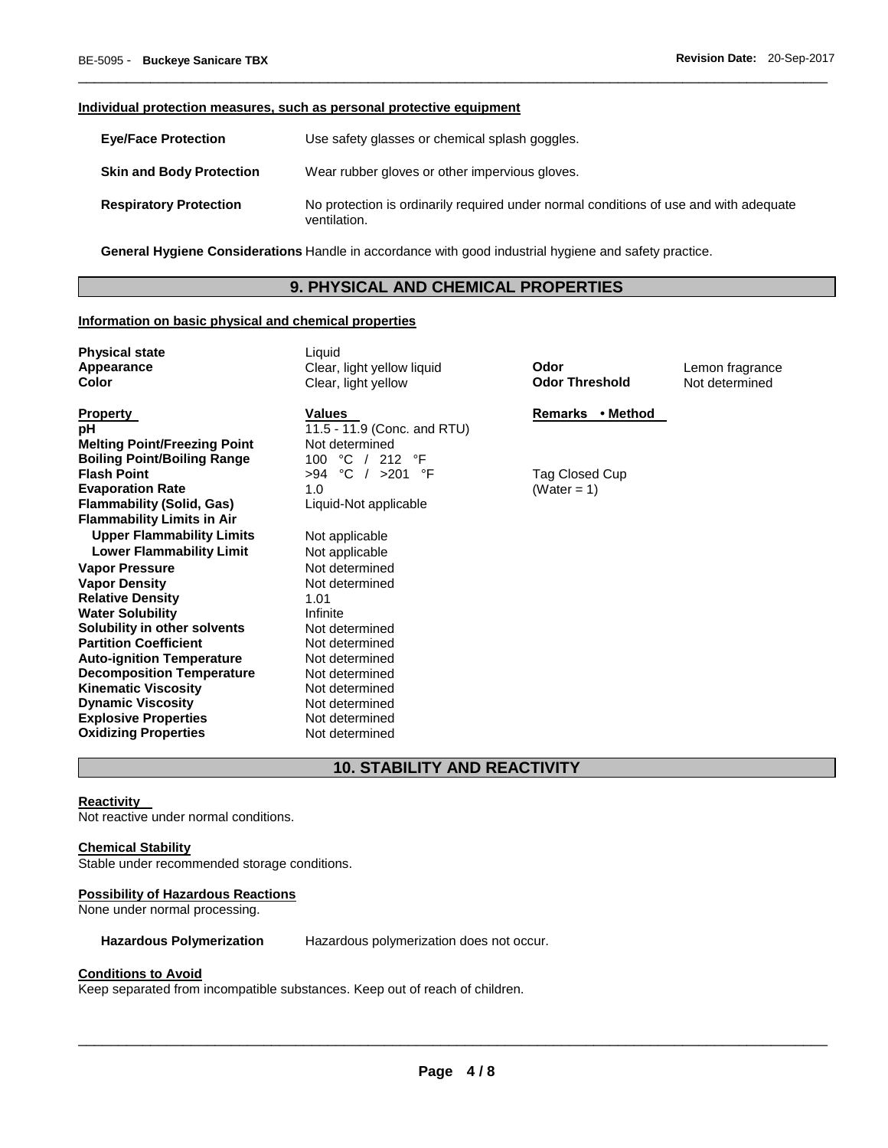#### **Individual protection measures, such as personal protective equipment**

| <b>Eye/Face Protection</b>      | Use safety glasses or chemical splash goggles.                                                        |
|---------------------------------|-------------------------------------------------------------------------------------------------------|
| <b>Skin and Body Protection</b> | Wear rubber gloves or other impervious gloves.                                                        |
| <b>Respiratory Protection</b>   | No protection is ordinarily required under normal conditions of use and with adequate<br>ventilation. |

\_\_\_\_\_\_\_\_\_\_\_\_\_\_\_\_\_\_\_\_\_\_\_\_\_\_\_\_\_\_\_\_\_\_\_\_\_\_\_\_\_\_\_\_\_\_\_\_\_\_\_\_\_\_\_\_\_\_\_\_\_\_\_\_\_\_\_\_\_\_\_\_\_\_\_\_\_\_\_\_\_\_\_\_\_\_\_\_\_\_\_\_\_

**General Hygiene Considerations** Handle in accordance with good industrial hygiene and safety practice.

# **9. PHYSICAL AND CHEMICAL PROPERTIES**

## **Information on basic physical and chemical properties**

**Melting Point/Freezing Point** Not determined **Boiling Point/Boiling Range**  $100 \text{ °C}$  / 212 °F<br>**Flash Point**  $>94 \text{ °C}$  /  $>201 \text{ °C}$ **Evaporation Rate 1.0** (Water = 1) **Flammability (Solid, Gas)** Liquid-Not applicable **Flammability Limits in Air Upper Flammability Limits** Not applicable **Lower Flammability Limit** Not applicable **Vapor Pressure** Not determined **Vapor Density Relative Density 1.01 1.01 Property** 1.01 **Water Solubility Solubility in other solvents** Not determined **Partition Coefficient Not determined Auto-ignition Temperature** Not determined **Decomposition Temperature** Not determined **Kinematic Viscosity Not determined Dynamic Viscosity Not determined Explosive Properties Not determined Oxidizing Properties** Not determined

**Physical state** Liquid **Appearance** Clear, light yellow liquid **Odor** Lemon fragrance **Color** Clear, light yellow **Odor Threshold** Not determined

**pH 11.5 - 11.9 (Conc. and RTU) Flash Point** >94 °C / >201 °F Tag Closed Cup

**Property Construction Construction Construction Values Construction Construction Remarks • Method** 

# **10. STABILITY AND REACTIVITY**

## **Reactivity**

Not reactive under normal conditions.

#### **Chemical Stability**

Stable under recommended storage conditions.

## **Possibility of Hazardous Reactions**

None under normal processing.

**Hazardous Polymerization** Hazardous polymerization does not occur.

#### **Conditions to Avoid**

Keep separated from incompatible substances. Keep out of reach of children.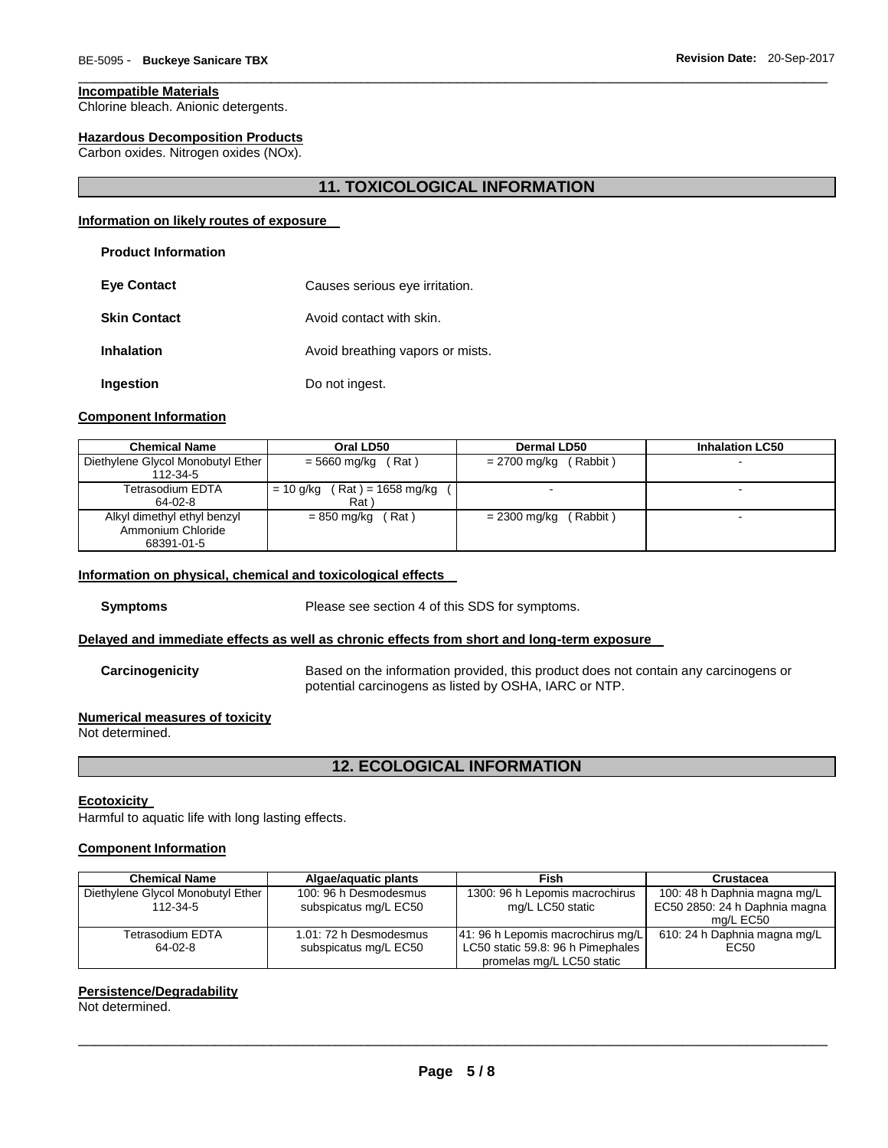# **Incompatible Materials**

Chlorine bleach. Anionic detergents.

# **Hazardous Decomposition Products**

Carbon oxides. Nitrogen oxides (NOx).

# **11. TOXICOLOGICAL INFORMATION**

\_\_\_\_\_\_\_\_\_\_\_\_\_\_\_\_\_\_\_\_\_\_\_\_\_\_\_\_\_\_\_\_\_\_\_\_\_\_\_\_\_\_\_\_\_\_\_\_\_\_\_\_\_\_\_\_\_\_\_\_\_\_\_\_\_\_\_\_\_\_\_\_\_\_\_\_\_\_\_\_\_\_\_\_\_\_\_\_\_\_\_\_\_

# **Information on likely routes of exposure**

### **Product Information**

| <b>Eye Contact</b>  | Causes serious eye irritation.   |  |  |
|---------------------|----------------------------------|--|--|
| <b>Skin Contact</b> | Avoid contact with skin.         |  |  |
| <b>Inhalation</b>   | Avoid breathing vapors or mists. |  |  |
| Ingestion           | Do not ingest.                   |  |  |

#### **Component Information**

| <b>Chemical Name</b>              | Oral LD50                        | Dermal LD50              | <b>Inhalation LC50</b> |  |  |
|-----------------------------------|----------------------------------|--------------------------|------------------------|--|--|
| Diethylene Glycol Monobutyl Ether | = 5660 mg/kg<br>(Rat)            | (Rabbit)<br>= 2700 mg/kg | -                      |  |  |
| 112-34-5                          |                                  |                          |                        |  |  |
| Tetrasodium EDTA                  | (Rat ) = 1658 mg/kg<br>= 10 g/kg |                          | -                      |  |  |
| 64-02-8                           | Rat )                            |                          |                        |  |  |
| Alkyl dimethyl ethyl benzyl       | Rat)<br>= 850 mg/kg              | (Rabbit)<br>= 2300 mg/kg |                        |  |  |
| Ammonium Chloride                 |                                  |                          |                        |  |  |
| 68391-01-5                        |                                  |                          |                        |  |  |

# **Information on physical, chemical and toxicological effects**

**Symptoms** Please see section 4 of this SDS for symptoms.

# **Delayed and immediate effects as well as chronic effects from short and long-term exposure**

**Carcinogenicity** Based on the information provided, this product does not contain any carcinogens or potential carcinogens as listed by OSHA, IARC or NTP.

# **Numerical measures of toxicity**

Not determined.

# **12. ECOLOGICAL INFORMATION**

## **Ecotoxicity**

Harmful to aquatic life with long lasting effects.

# **Component Information**

| <b>Chemical Name</b>              | Algae/aquatic plants   | Fish                              | Crustacea                     |  |
|-----------------------------------|------------------------|-----------------------------------|-------------------------------|--|
| Diethylene Glycol Monobutyl Ether | 100: 96 h Desmodesmus  | 1300: 96 h Lepomis macrochirus    | 100: 48 h Daphnia magna mg/L  |  |
| 112-34-5                          | subspicatus mg/L EC50  | mg/L LC50 static                  | EC50 2850: 24 h Daphnia magna |  |
|                                   |                        |                                   | mg/L EC50                     |  |
| Tetrasodium EDTA                  | 1.01: 72 h Desmodesmus | 41: 96 h Lepomis macrochirus mg/L | 610: 24 h Daphnia magna mg/L  |  |
| 64-02-8                           | subspicatus mg/L EC50  | LC50 static 59.8: 96 h Pimephales | EC50                          |  |
|                                   |                        | promelas mg/L LC50 static         |                               |  |

# **Persistence/Degradability**

Not determined.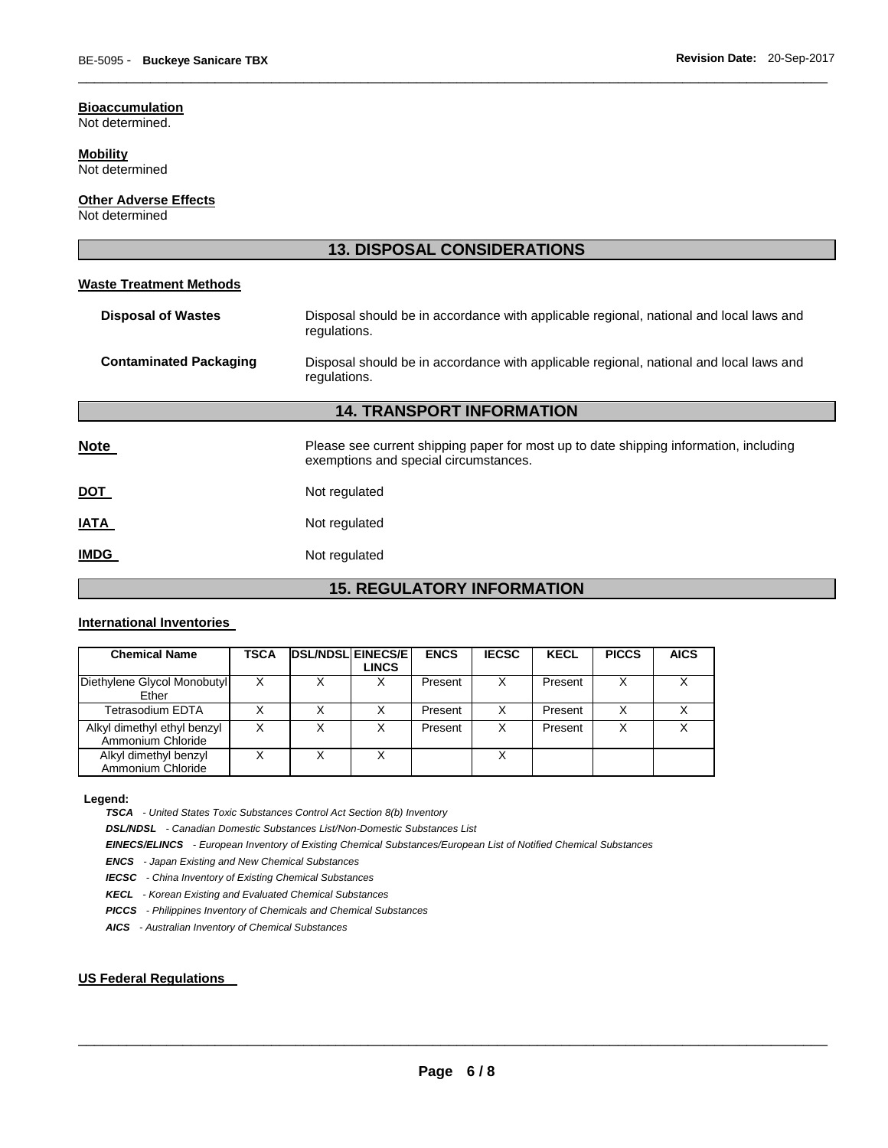# **Bioaccumulation**

Not determined.

# **Mobility**

Not determined

# **Other Adverse Effects**

Not determined

# **13. DISPOSAL CONSIDERATIONS Waste Treatment Methods Disposal of Wastes** Disposal should be in accordance with applicable regional, national and local laws and regulations. **Contaminated Packaging** Disposal should be in accordance with applicable regional, national and local laws and regulations. **14. TRANSPORT INFORMATION Note Please see current shipping paper for most up to date shipping information, including** exemptions and special circumstances. **DOT** Not regulated **IATA** Not regulated **IMDG** Not regulated

\_\_\_\_\_\_\_\_\_\_\_\_\_\_\_\_\_\_\_\_\_\_\_\_\_\_\_\_\_\_\_\_\_\_\_\_\_\_\_\_\_\_\_\_\_\_\_\_\_\_\_\_\_\_\_\_\_\_\_\_\_\_\_\_\_\_\_\_\_\_\_\_\_\_\_\_\_\_\_\_\_\_\_\_\_\_\_\_\_\_\_\_\_

# **15. REGULATORY INFORMATION**

# **International Inventories**

| <b>Chemical Name</b>                             | TSCA | <b>DSL/NDSL EINECS/E</b> | LINCS | <b>ENCS</b> | <b>IECSC</b> | <b>KECL</b> | <b>PICCS</b> | <b>AICS</b> |
|--------------------------------------------------|------|--------------------------|-------|-------------|--------------|-------------|--------------|-------------|
| Diethylene Glycol Monobutyl<br>Ether             |      |                          |       | Present     | X            | Present     | X            |             |
| Tetrasodium EDTA                                 |      | х                        |       | Present     | х            | Present     | x            |             |
| Alkyl dimethyl ethyl benzyl<br>Ammonium Chloride |      | Χ                        |       | Present     | х            | Present     | ◡            |             |
| Alkyl dimethyl benzyl<br>Ammonium Chloride       |      | Х                        |       |             |              |             |              |             |

#### **Legend:**

*TSCA - United States Toxic Substances Control Act Section 8(b) Inventory* 

*DSL/NDSL - Canadian Domestic Substances List/Non-Domestic Substances List* 

*EINECS/ELINCS - European Inventory of Existing Chemical Substances/European List of Notified Chemical Substances* 

*ENCS - Japan Existing and New Chemical Substances* 

*IECSC - China Inventory of Existing Chemical Substances* 

*KECL - Korean Existing and Evaluated Chemical Substances* 

*PICCS - Philippines Inventory of Chemicals and Chemical Substances* 

*AICS - Australian Inventory of Chemical Substances* 

# **US Federal Regulations**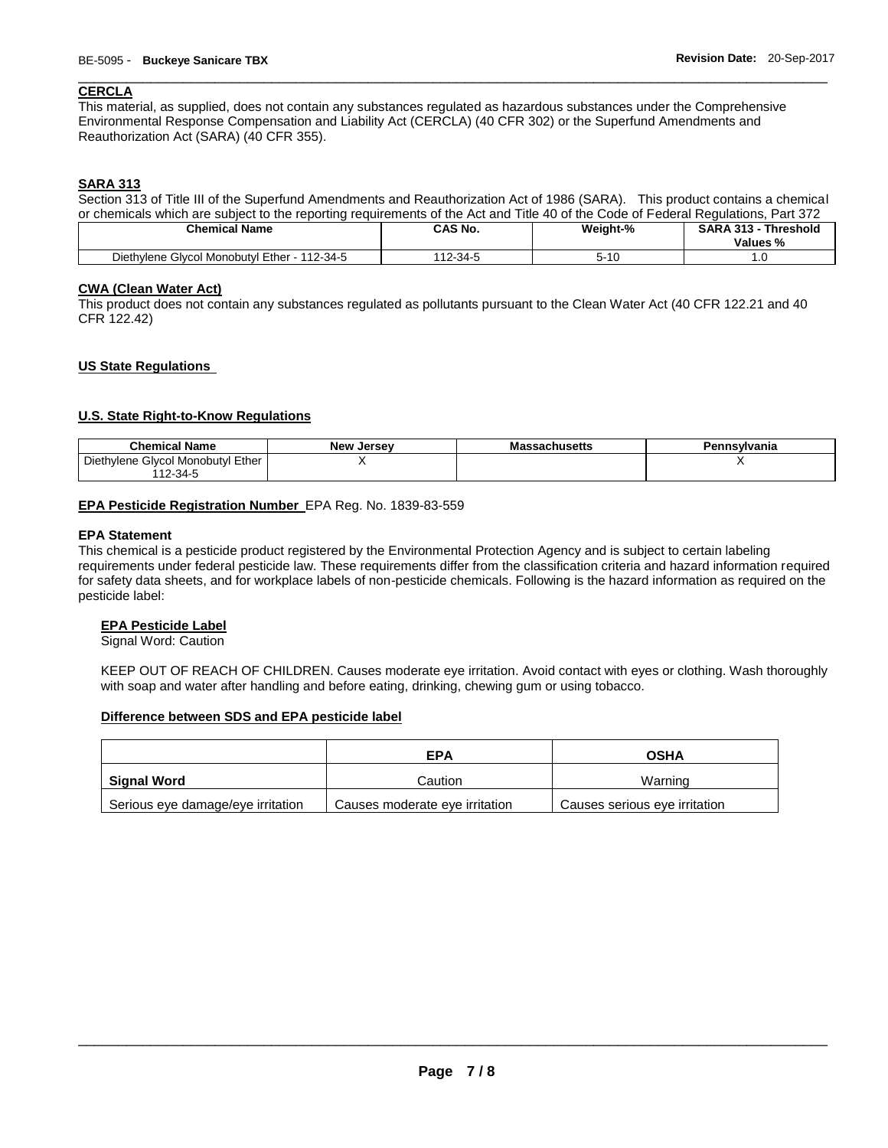# \_\_\_\_\_\_\_\_\_\_\_\_\_\_\_\_\_\_\_\_\_\_\_\_\_\_\_\_\_\_\_\_\_\_\_\_\_\_\_\_\_\_\_\_\_\_\_\_\_\_\_\_\_\_\_\_\_\_\_\_\_\_\_\_\_\_\_\_\_\_\_\_\_\_\_\_\_\_\_\_\_\_\_\_\_\_\_\_\_\_\_\_\_ **CERCLA**

This material, as supplied, does not contain any substances regulated as hazardous substances under the Comprehensive Environmental Response Compensation and Liability Act (CERCLA) (40 CFR 302) or the Superfund Amendments and Reauthorization Act (SARA) (40 CFR 355).

# **SARA 313**

Section 313 of Title III of the Superfund Amendments and Reauthorization Act of 1986 (SARA). This product contains a chemical or chemicals which are subject to the reporting requirements of the Act and Title 40 of the Code of Federal Regulations, Part 372

| Chemical Name                                        | CAS No.     | Weight-%    | <b>SARA 313 -</b><br><b>Threshold</b><br>Values % |
|------------------------------------------------------|-------------|-------------|---------------------------------------------------|
| l Monobutvl Ether<br>112-34 $F$<br>Diethylene Glycol | $12 - 34 -$ | <b>-</b> 10 | . ن                                               |

# **CWA (Clean Water Act)**

This product does not contain any substances regulated as pollutants pursuant to the Clean Water Act (40 CFR 122.21 and 40 CFR 122.42)

# **US State Regulations**

# **U.S. State Right-to-Know Regulations**

| <b>Chemical Name</b>                   | <b>New Jersey</b> | ıssachusetts<br>ма: | Pennsylvania |
|----------------------------------------|-------------------|---------------------|--------------|
| Givcol Monobutvi Ether<br>Diethylene C |                   |                     |              |
| 12-34-u                                |                   |                     |              |

# **EPA Pesticide Registration Number** EPA Reg. No. 1839-83-559

# **EPA Statement**

This chemical is a pesticide product registered by the Environmental Protection Agency and is subject to certain labeling requirements under federal pesticide law. These requirements differ from the classification criteria and hazard information required for safety data sheets, and for workplace labels of non-pesticide chemicals. Following is the hazard information as required on the pesticide label:

# **EPA Pesticide Label**

Signal Word: Caution

KEEP OUT OF REACH OF CHILDREN. Causes moderate eye irritation. Avoid contact with eyes or clothing. Wash thoroughly with soap and water after handling and before eating, drinking, chewing gum or using tobacco.

# **Difference between SDS and EPA pesticide label**

|                                   | EPA                            | OSHA                          |
|-----------------------------------|--------------------------------|-------------------------------|
| Signal Word                       | Caution                        | Warning                       |
| Serious eye damage/eye irritation | Causes moderate eye irritation | Causes serious eye irritation |